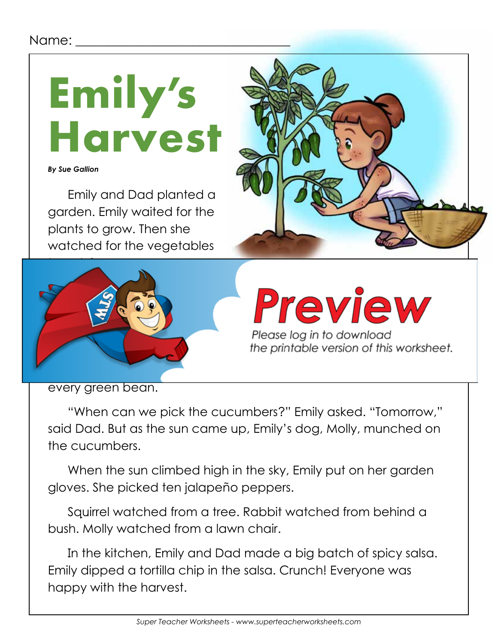## Name:

**Emily's Harvest**

*By Sue Gallion*

Emily and Dad planted a garden. Emily waited for the plants to grow. Then she watched for the vegetables





Please log in to download the printable version of this worksheet.

every green bean.

"When can we pick the cucumbers?" Emily asked. "Tomorrow," said Dad. But as the sun came up, Emily's dog, Molly, munched on the cucumbers.

When the sun climbed high in the sky, Emily put on her garden gloves. She picked ten jalapeño peppers.

Squirrel watched from a tree. Rabbit watched from behind a bush. Molly watched from a lawn chair.

In the kitchen, Emily and Dad made a big batch of spicy salsa. Emily dipped a tortilla chip in the salsa. Crunch! Everyone was happy with the harvest.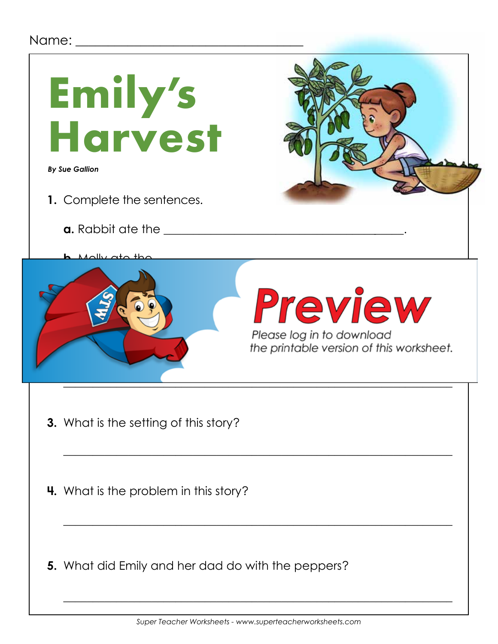## Name:  $\Box$